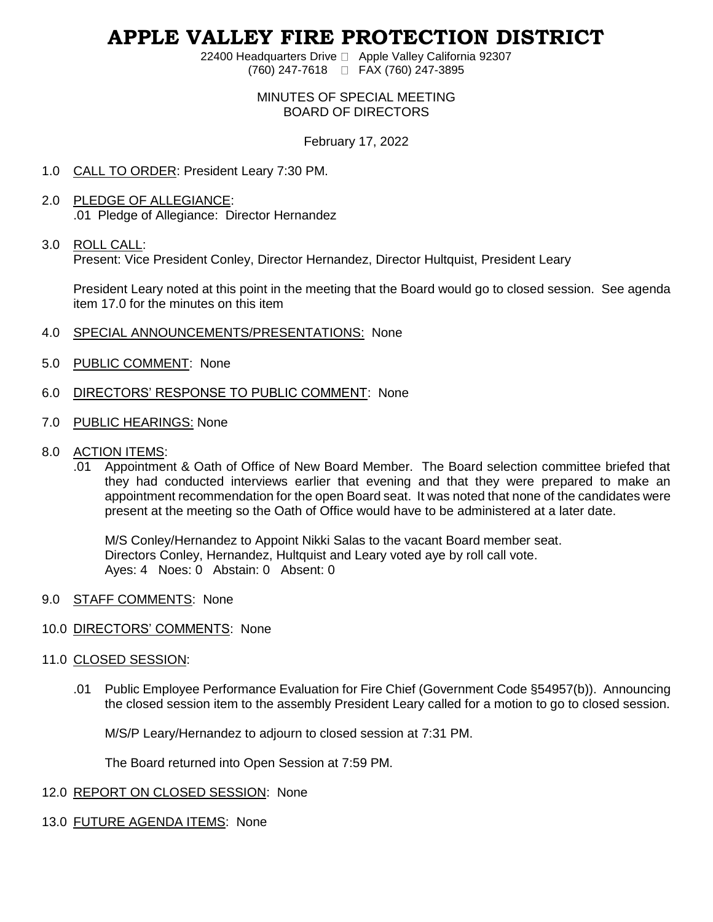# **APPLE VALLEY FIRE PROTECTION DISTRICT**

22400 Headquarters Drive □ Apple Valley California 92307 (760) 247-7618 FAX (760) 247-3895

#### MINUTES OF SPECIAL MEETING BOARD OF DIRECTORS

### February 17, 2022

- 1.0 CALL TO ORDER: President Leary 7:30 PM.
- 2.0 PLEDGE OF ALLEGIANCE: .01 Pledge of Allegiance: Director Hernandez

#### 3.0 ROLL CALL:

Present: Vice President Conley, Director Hernandez, Director Hultquist, President Leary

President Leary noted at this point in the meeting that the Board would go to closed session. See agenda item 17.0 for the minutes on this item

- 4.0 SPECIAL ANNOUNCEMENTS/PRESENTATIONS: None
- 5.0 PUBLIC COMMENT: None
- 6.0 DIRECTORS' RESPONSE TO PUBLIC COMMENT: None
- 7.0 PUBLIC HEARINGS: None
- 8.0 ACTION ITEMS:
	- .01 Appointment & Oath of Office of New Board Member. The Board selection committee briefed that they had conducted interviews earlier that evening and that they were prepared to make an appointment recommendation for the open Board seat. It was noted that none of the candidates were present at the meeting so the Oath of Office would have to be administered at a later date.

M/S Conley/Hernandez to Appoint Nikki Salas to the vacant Board member seat. Directors Conley, Hernandez, Hultquist and Leary voted aye by roll call vote. Ayes: 4 Noes: 0 Abstain: 0 Absent: 0

- 9.0 STAFF COMMENTS: None
- 10.0 DIRECTORS' COMMENTS: None
- 11.0 CLOSED SESSION:
	- .01 Public Employee Performance Evaluation for Fire Chief (Government Code §54957(b)). Announcing the closed session item to the assembly President Leary called for a motion to go to closed session.

M/S/P Leary/Hernandez to adjourn to closed session at 7:31 PM.

The Board returned into Open Session at 7:59 PM.

- 12.0 REPORT ON CLOSED SESSION: None
- 13.0 FUTURE AGENDA ITEMS: None